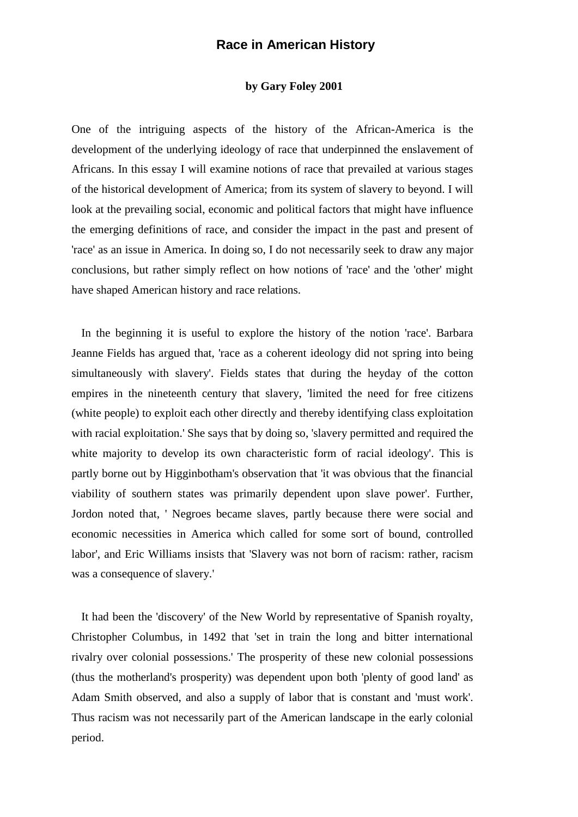## **Race in American History**

## **by Gary Foley 2001**

One of the intriguing aspects of the history of the African-America is the development of the underlying ideology of race that underpinned the enslavement of Africans. In this essay I will examine notions of race that prevailed at various stages of the historical development of America; from its system of slavery to beyond. I will look at the prevailing social, economic and political factors that might have influence the emerging definitions of race, and consider the impact in the past and present of 'race' as an issue in America. In doing so, I do not necessarily seek to draw any major conclusions, but rather simply reflect on how notions of 'race' and the 'other' might have shaped American history and race relations.

In the beginning it is useful to explore the history of the notion 'race'. Barbara Jeanne Fields has argued that, 'race as a coherent ideology did not spring into being simultaneously with slavery'. Fields states that during the heyday of the cotton empires in the nineteenth century that slavery, 'limited the need for free citizens (white people) to exploit each other directly and thereby identifying class exploitation with racial exploitation.' She says that by doing so, 'slavery permitted and required the white majority to develop its own characteristic form of racial ideology'. This is partly borne out by Higginbotham's observation that 'it was obvious that the financial viability of southern states was primarily dependent upon slave power'. Further, Jordon noted that, ' Negroes became slaves, partly because there were social and economic necessities in America which called for some sort of bound, controlled labor', and Eric Williams insists that 'Slavery was not born of racism: rather, racism was a consequence of slavery.'

It had been the 'discovery' of the New World by representative of Spanish royalty, Christopher Columbus, in 1492 that 'set in train the long and bitter international rivalry over colonial possessions.' The prosperity of these new colonial possessions (thus the motherland's prosperity) was dependent upon both 'plenty of good land' as Adam Smith observed, and also a supply of labor that is constant and 'must work'. Thus racism was not necessarily part of the American landscape in the early colonial period.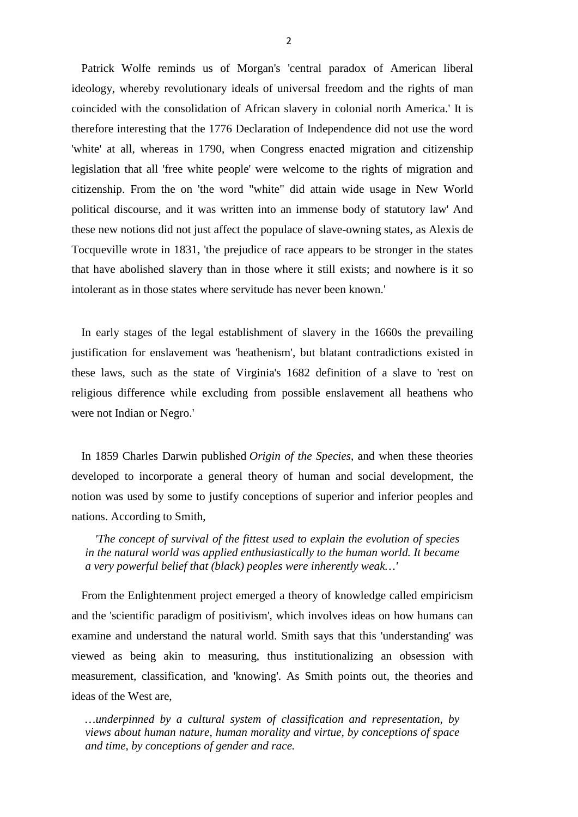Patrick Wolfe reminds us of Morgan's 'central paradox of American liberal ideology, whereby revolutionary ideals of universal freedom and the rights of man coincided with the consolidation of African slavery in colonial north America.' It is therefore interesting that the 1776 Declaration of Independence did not use the word 'white' at all, whereas in 1790, when Congress enacted migration and citizenship legislation that all 'free white people' were welcome to the rights of migration and citizenship. From the on 'the word "white" did attain wide usage in New World political discourse, and it was written into an immense body of statutory law' And these new notions did not just affect the populace of slave-owning states, as Alexis de Tocqueville wrote in 1831, 'the prejudice of race appears to be stronger in the states that have abolished slavery than in those where it still exists; and nowhere is it so intolerant as in those states where servitude has never been known.'

In early stages of the legal establishment of slavery in the 1660s the prevailing justification for enslavement was 'heathenism', but blatant contradictions existed in these laws, such as the state of Virginia's 1682 definition of a slave to 'rest on religious difference while excluding from possible enslavement all heathens who were not Indian or Negro.'

In 1859 Charles Darwin published *Origin of the Species*, and when these theories developed to incorporate a general theory of human and social development, the notion was used by some to justify conceptions of superior and inferior peoples and nations. According to Smith,

*'The concept of survival of the fittest used to explain the evolution of species in the natural world was applied enthusiastically to the human world. It became a very powerful belief that (black) peoples were inherently weak…'*

From the Enlightenment project emerged a theory of knowledge called empiricism and the 'scientific paradigm of positivism', which involves ideas on how humans can examine and understand the natural world. Smith says that this 'understanding' was viewed as being akin to measuring, thus institutionalizing an obsession with measurement, classification, and 'knowing'. As Smith points out, the theories and ideas of the West are,

*…underpinned by a cultural system of classification and representation, by views about human nature, human morality and virtue, by conceptions of space and time, by conceptions of gender and race.*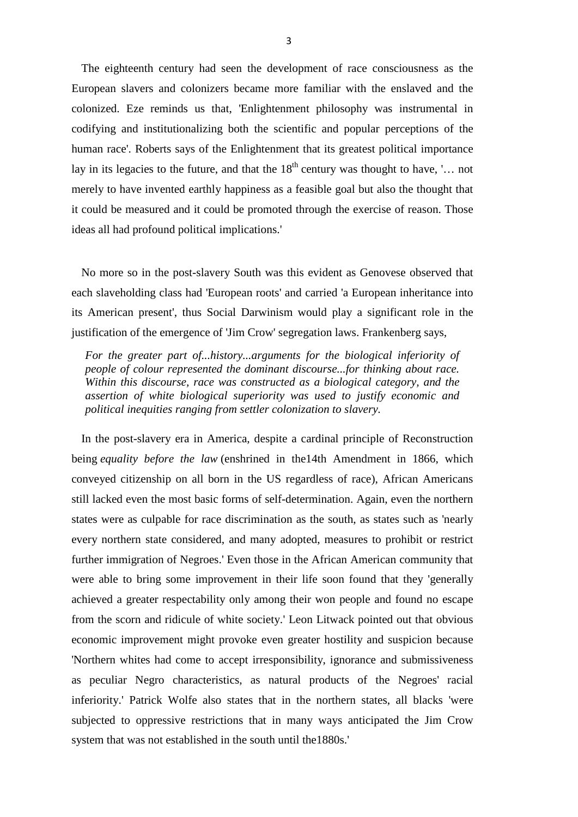The eighteenth century had seen the development of race consciousness as the European slavers and colonizers became more familiar with the enslaved and the colonized. Eze reminds us that, 'Enlightenment philosophy was instrumental in codifying and institutionalizing both the scientific and popular perceptions of the human race'. Roberts says of the Enlightenment that its greatest political importance lay in its legacies to the future, and that the  $18<sup>th</sup>$  century was thought to have, '... not merely to have invented earthly happiness as a feasible goal but also the thought that it could be measured and it could be promoted through the exercise of reason. Those ideas all had profound political implications.'

No more so in the post-slavery South was this evident as Genovese observed that each slaveholding class had 'European roots' and carried 'a European inheritance into its American present', thus Social Darwinism would play a significant role in the justification of the emergence of 'Jim Crow' segregation laws. Frankenberg says,

*For the greater part of...history...arguments for the biological inferiority of people of colour represented the dominant discourse...for thinking about race. Within this discourse, race was constructed as a biological category, and the assertion of white biological superiority was used to justify economic and political inequities ranging from settler colonization to slavery.*

In the post-slavery era in America, despite a cardinal principle of Reconstruction being *equality before the law* (enshrined in the14th Amendment in 1866, which conveyed citizenship on all born in the US regardless of race), African Americans still lacked even the most basic forms of self-determination. Again, even the northern states were as culpable for race discrimination as the south, as states such as 'nearly every northern state considered, and many adopted, measures to prohibit or restrict further immigration of Negroes.' Even those in the African American community that were able to bring some improvement in their life soon found that they 'generally achieved a greater respectability only among their won people and found no escape from the scorn and ridicule of white society.' Leon Litwack pointed out that obvious economic improvement might provoke even greater hostility and suspicion because 'Northern whites had come to accept irresponsibility, ignorance and submissiveness as peculiar Negro characteristics, as natural products of the Negroes' racial inferiority.' Patrick Wolfe also states that in the northern states, all blacks 'were subjected to oppressive restrictions that in many ways anticipated the Jim Crow system that was not established in the south until the1880s.'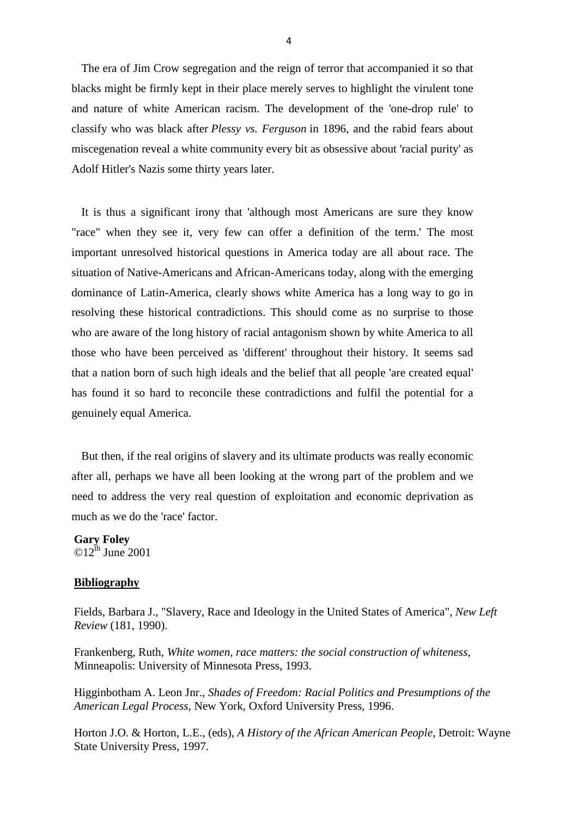The era of Jim Crow segregation and the reign of terror that accompanied it so that blacks might be firmly kept in their place merely serves to highlight the virulent tone and nature of white American racism. The development of the 'one-drop rule' to classify who was black after *Plessy vs. Ferguson* in 1896, and the rabid fears about miscegenation reveal a white community every bit as obsessive about 'racial purity' as Adolf Hitler's Nazis some thirty years later.

It is thus a significant irony that 'although most Americans are sure they know "race" when they see it, very few can offer a definition of the term.' The most important unresolved historical questions in America today are all about race. The situation of Native-Americans and African-Americans today, along with the emerging dominance of Latin-America, clearly shows white America has a long way to go in resolving these historical contradictions. This should come as no surprise to those who are aware of the long history of racial antagonism shown by white America to all those who have been perceived as 'different' throughout their history. It seems sad that a nation born of such high ideals and the belief that all people 'are created equal' has found it so hard to reconcile these contradictions and fulfil the potential for a genuinely equal America.

But then, if the real origins of slavery and its ultimate products was really economic after all, perhaps we have all been looking at the wrong part of the problem and we need to address the very real question of exploitation and economic deprivation as much as we do the 'race' factor.

**Gary Foley**  $\odot$ 12<sup>th</sup> June 2001

## **Bibliography**

Fields, Barbara J., "Slavery, Race and Ideology in the United States of America", *New Left Review* (181, 1990).

Frankenberg, Ruth, *White women, race matters: the social construction of whiteness*, Minneapolis: University of Minnesota Press, 1993.

Higginbotham A. Leon Jnr., *Shades of Freedom: Racial Politics and Presumptions of the American Legal Process*, New York, Oxford University Press, 1996.

Horton J.O. & Horton, L.E., (eds), *A History of the African American People*, Detroit: Wayne State University Press, 1997.